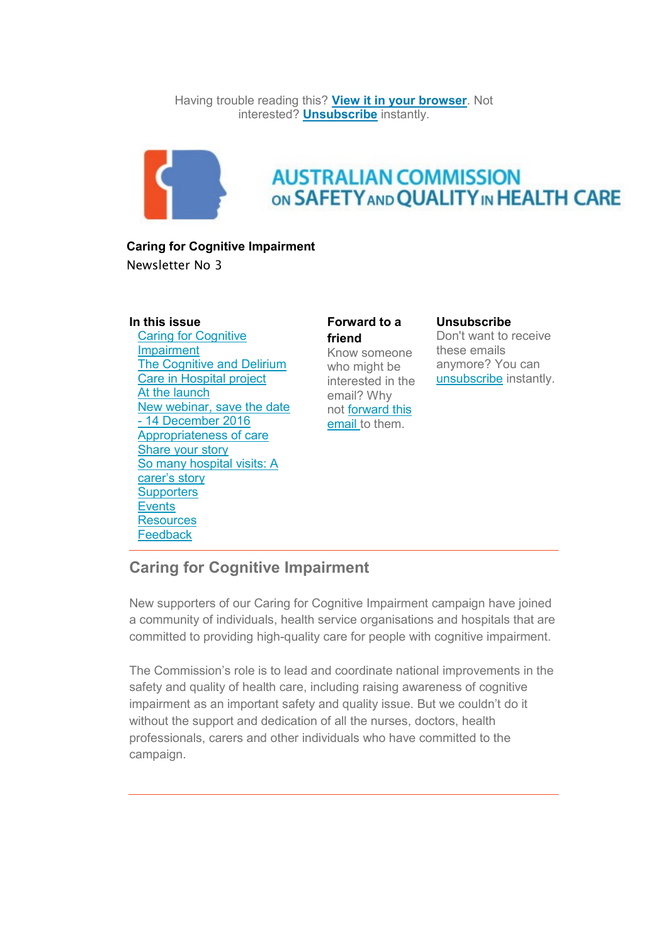Having trouble reading this? **[View it in your browser](http://safetyandquality.createsend1.com/t/j-e-uldrhtd-l-r/)**. Not interested? **[Unsubscribe](http://safetyandquality.createsend1.com/t/j-u-uldrhtd-l-y/)** instantly.



# **AUSTRALIAN COMMISSION** ON SAFETY AND QUALITY IN HEALTH CARE

#### **Caring for Cognitive Impairment**

Newsletter No 3

#### **In this issue**

 [Caring for Cognitive](https://safetyandquality.createsend.com/t/ViewEmail/j/7995EC81C3A4849F/C67FD2F38AC4859C/?tx=0#toc_item_0)  [Impairment](https://safetyandquality.createsend.com/t/ViewEmail/j/7995EC81C3A4849F/C67FD2F38AC4859C/?tx=0#toc_item_0) [The Cognitive and Delirium](https://safetyandquality.createsend.com/t/ViewEmail/j/7995EC81C3A4849F/C67FD2F38AC4859C/?tx=0#toc_item_1)  [Care in Hospital project](https://safetyandquality.createsend.com/t/ViewEmail/j/7995EC81C3A4849F/C67FD2F38AC4859C/?tx=0#toc_item_1) [At the launch](https://safetyandquality.createsend.com/t/ViewEmail/j/7995EC81C3A4849F/C67FD2F38AC4859C/?tx=0#toc_item_2) [New webinar, save the date](https://safetyandquality.createsend.com/t/ViewEmail/j/7995EC81C3A4849F/C67FD2F38AC4859C/?tx=0#toc_item_3)  - 14 [December 2016](https://safetyandquality.createsend.com/t/ViewEmail/j/7995EC81C3A4849F/C67FD2F38AC4859C/?tx=0#toc_item_3) [Appropriateness of care](https://safetyandquality.createsend.com/t/ViewEmail/j/7995EC81C3A4849F/C67FD2F38AC4859C/?tx=0#toc_item_4) [Share your story](https://safetyandquality.createsend.com/t/ViewEmail/j/7995EC81C3A4849F/C67FD2F38AC4859C/?tx=0#toc_item_5) [So many hospital visits: A](https://safetyandquality.createsend.com/t/ViewEmail/j/7995EC81C3A4849F/C67FD2F38AC4859C/?tx=0#toc_item_6)  [carer's story](https://safetyandquality.createsend.com/t/ViewEmail/j/7995EC81C3A4849F/C67FD2F38AC4859C/?tx=0#toc_item_6) **[Supporters](https://safetyandquality.createsend.com/t/ViewEmail/j/7995EC81C3A4849F/C67FD2F38AC4859C/?tx=0#toc_item_7) [Events](https://safetyandquality.createsend.com/t/ViewEmail/j/7995EC81C3A4849F/C67FD2F38AC4859C/?tx=0#toc_item_8) [Resources](https://safetyandquality.createsend.com/t/ViewEmail/j/7995EC81C3A4849F/C67FD2F38AC4859C/?tx=0#toc_item_9) [Feedback](https://safetyandquality.createsend.com/t/ViewEmail/j/7995EC81C3A4849F/C67FD2F38AC4859C/?tx=0#toc_item_10)** 

**Forward to a friend** Know someone who might be interested in the email? Why not [forward this](http://safetyandquality.forwardtomyfriend.com/j-l-2AD73FFF-uldrhtd-l-j)  [email](http://safetyandquality.forwardtomyfriend.com/j-l-2AD73FFF-uldrhtd-l-j) to them.

#### **Unsubscribe**

Don't want to receive these emails anymore? You can [unsubscribe](http://safetyandquality.createsend1.com/t/j-u-uldrhtd-l-t/) instantly.

## **Caring for Cognitive Impairment**

New supporters of our Caring for Cognitive Impairment campaign have joined a community of individuals, health service organisations and hospitals that are committed to providing high-quality care for people with cognitive impairment.

The Commission's role is to lead and coordinate national improvements in the safety and quality of health care, including raising awareness of cognitive impairment as an important safety and quality issue. But we couldn't do it without the support and dedication of all the nurses, doctors, health professionals, carers and other individuals who have committed to the campaign.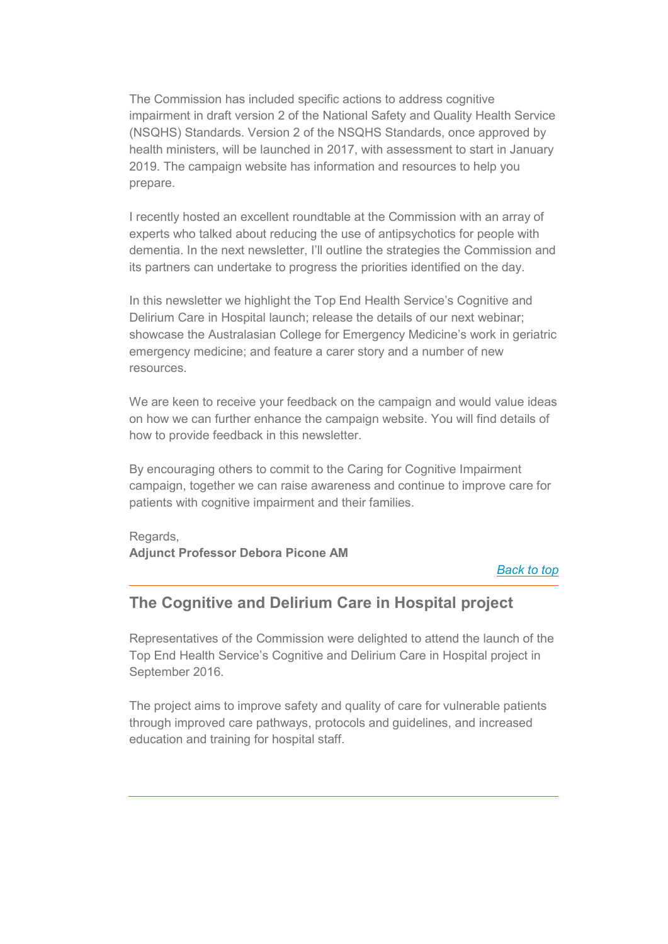The Commission has included specific actions to address cognitive impairment in draft version 2 of the National Safety and Quality Health Service (NSQHS) Standards. Version 2 of the NSQHS Standards, once approved by health ministers, will be launched in 2017, with assessment to start in January 2019. The campaign website has information and resources to help you prepare.

I recently hosted an excellent roundtable at the Commission with an array of experts who talked about reducing the use of antipsychotics for people with dementia. In the next newsletter, I'll outline the strategies the Commission and its partners can undertake to progress the priorities identified on the day.

In this newsletter we highlight the Top End Health Service's Cognitive and Delirium Care in Hospital launch; release the details of our next webinar; showcase the Australasian College for Emergency Medicine's work in geriatric emergency medicine; and feature a carer story and a number of new resources.

We are keen to receive your feedback on the campaign and would value ideas on how we can further enhance the campaign website. You will find details of how to provide feedback in this newsletter.

By encouraging others to commit to the Caring for Cognitive Impairment campaign, together we can raise awareness and continue to improve care for patients with cognitive impairment and their families.

Regards, **Adjunct Professor Debora Picone AM**

*[Back to top](https://safetyandquality.createsend.com/t/ViewEmail/j/7995EC81C3A4849F/C67FD2F38AC4859C/?tx=0#top)*

### **The Cognitive and Delirium Care in Hospital project**

Representatives of the Commission were delighted to attend the launch of the Top End Health Service's Cognitive and Delirium Care in Hospital project in September 2016.

The project aims to improve safety and quality of care for vulnerable patients through improved care pathways, protocols and guidelines, and increased education and training for hospital staff.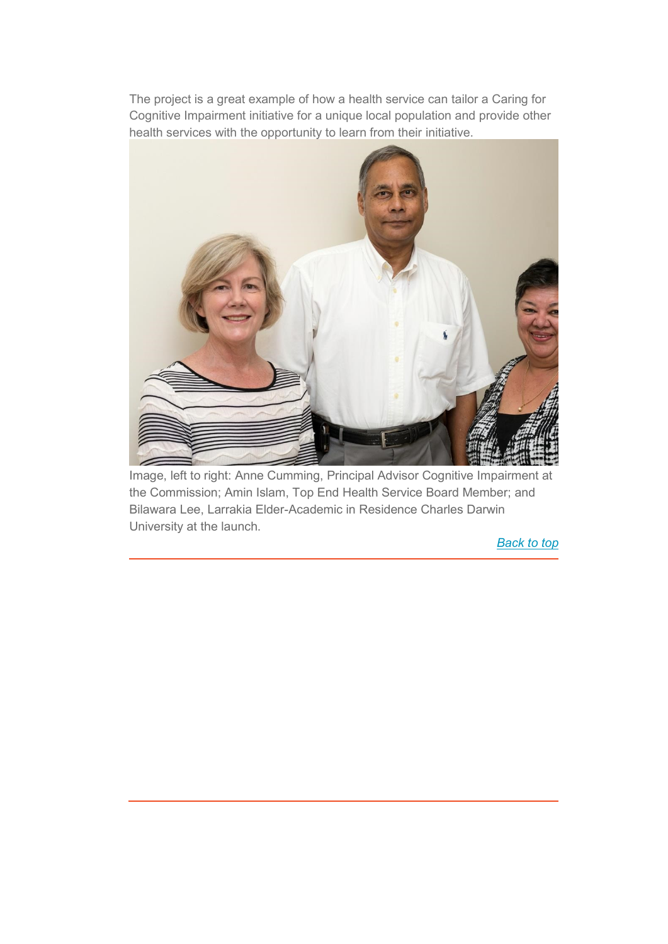The project is a great example of how a health service can tailor a Caring for Cognitive Impairment initiative for a unique local population and provide other health services with the opportunity to learn from their initiative.



Image, left to right: Anne Cumming, Principal Advisor Cognitive Impairment at the Commission; Amin Islam, Top End Health Service Board Member; and Bilawara Lee, Larrakia Elder-Academic in Residence Charles Darwin University at the launch.

*[Back to top](https://safetyandquality.createsend.com/t/ViewEmail/j/7995EC81C3A4849F/C67FD2F38AC4859C/?tx=0#top)*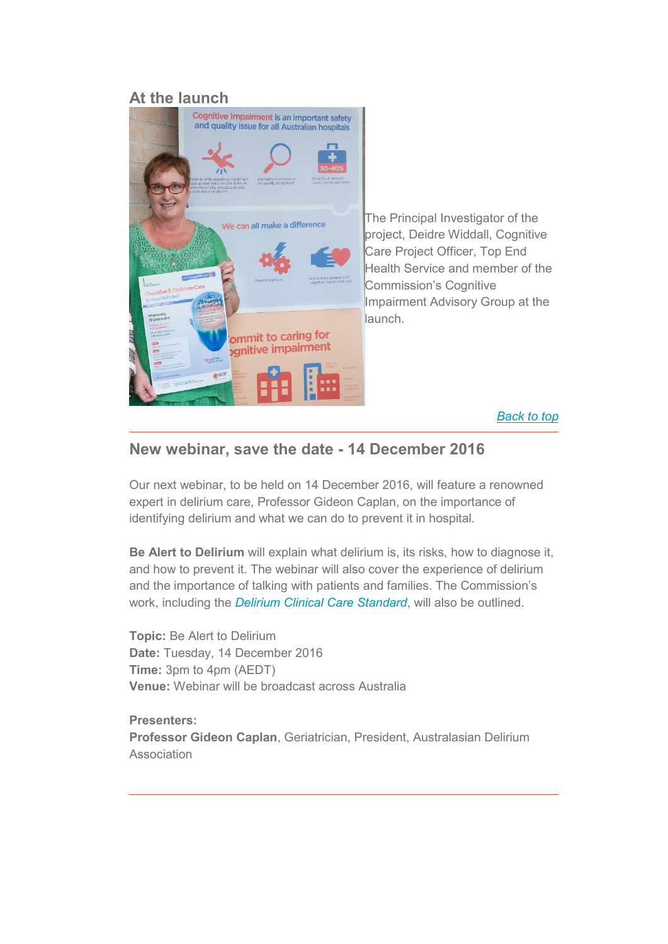### **At the launch**



The Principal Investigator of the project, Deidre Widdall, Cognitive Care Project Officer, Top End Health Service and member of the Commission's Cognitive Impairment Advisory Group at the launch.

#### *[Back to top](https://safetyandquality.createsend.com/t/ViewEmail/j/7995EC81C3A4849F/C67FD2F38AC4859C/?tx=0#top)*

### **New webinar, save the date - 14 December 2016**

Our next webinar, to be held on 14 December 2016, will feature a renowned expert in delirium care, Professor Gideon Caplan, on the importance of identifying delirium and what we can do to prevent it in hospital.

**Be Alert to Delirium** will explain what delirium is, its risks, how to diagnose it, and how to prevent it. The webinar will also cover the experience of delirium and the importance of talking with patients and families. The Commission's work, including the *[Delirium Clinical Care Standard](http://safetyandquality.createsend1.com/t/j-l-uldrhtd-l-d/)*, will also be outlined.

**Topic:** Be Alert to Delirium **Date:** Tuesday, 14 December 2016 **Time:** 3pm to 4pm (AEDT) **Venue:** Webinar will be broadcast across Australia

**Presenters: Professor Gideon Caplan**, Geriatrician, President, Australasian Delirium **Association**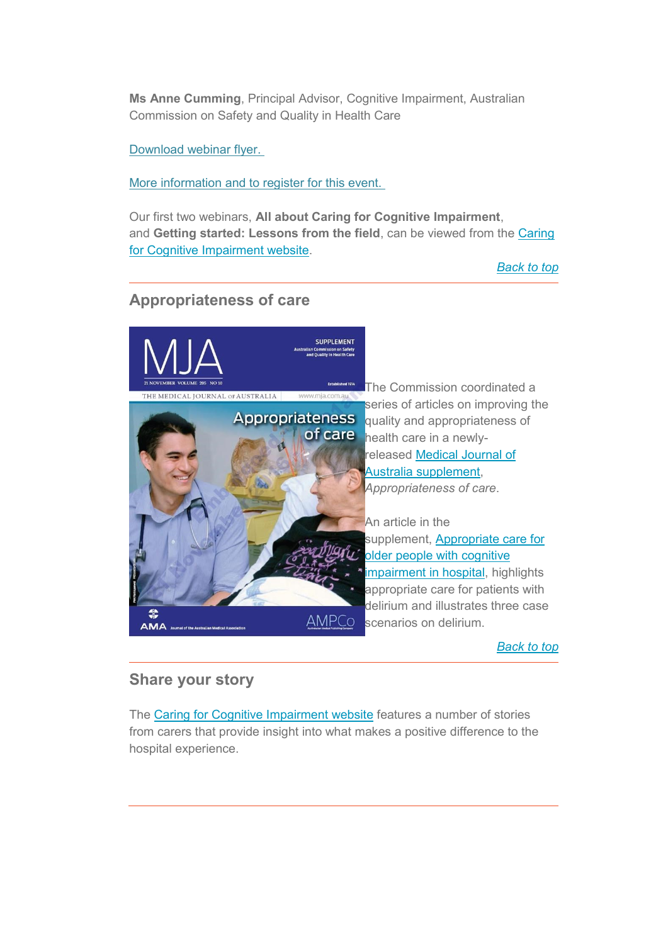**Ms Anne Cumming**, Principal Advisor, Cognitive Impairment, Australian Commission on Safety and Quality in Health Care

[Download webinar flyer.](http://cognitivecare.gov.au/webinars/)

[More information and to register for this event.](http://cognitivecare.gov.au/wp-content/uploads/2016/12/Caring-for-Cognitive-Impairment-webinar-flyer-be-alert-to-delirium.pdf)

Our first two webinars, **All about Caring for Cognitive Impairment**, and **Getting started: Lessons from the field**, can be viewed from the [Caring](http://safetyandquality.createsend1.com/t/j-l-uldrhtd-l-h/)  [for Cognitive Impairment website.](http://safetyandquality.createsend1.com/t/j-l-uldrhtd-l-h/)

*[Back to top](https://safetyandquality.createsend.com/t/ViewEmail/j/7995EC81C3A4849F/C67FD2F38AC4859C/?tx=0#top)*

# **Appropriateness of care**



*[Back to top](https://safetyandquality.createsend.com/t/ViewEmail/j/7995EC81C3A4849F/C67FD2F38AC4859C/?tx=0#top)*

### **Share your story**

The [Caring for Cognitive Impairment](http://safetyandquality.createsend1.com/t/j-l-uldrhtd-l-x/) website features a number of stories from carers that provide insight into what makes a positive difference to the hospital experience.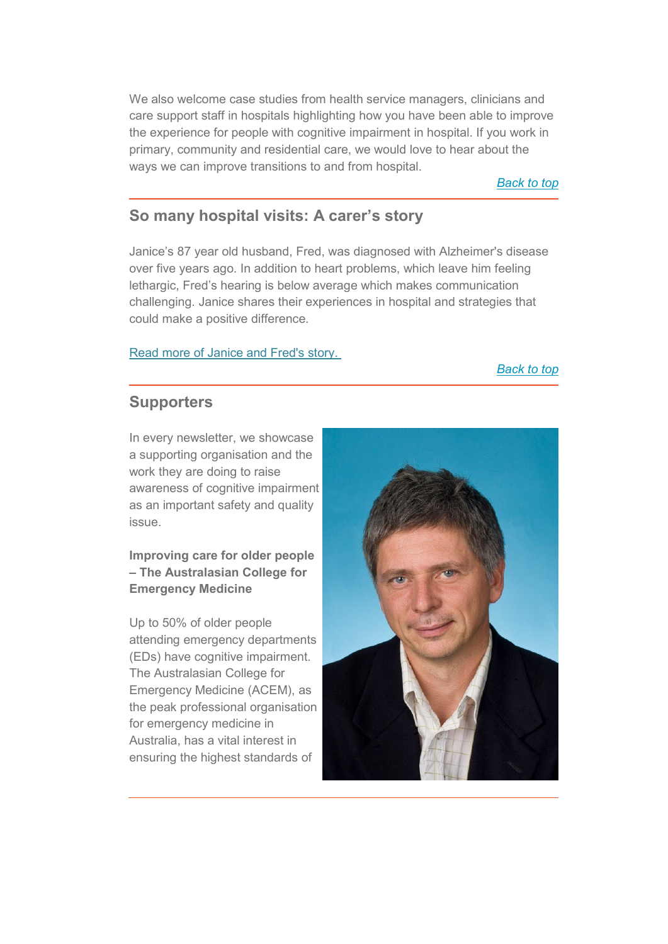We also welcome case studies from health service managers, clinicians and care support staff in hospitals highlighting how you have been able to improve the experience for people with cognitive impairment in hospital. If you work in primary, community and residential care, we would love to hear about the ways we can improve transitions to and from hospital.

*[Back to top](https://safetyandquality.createsend.com/t/ViewEmail/j/7995EC81C3A4849F/C67FD2F38AC4859C/?tx=0#top)*

### **So many hospital visits: A carer's story**

Janice's 87 year old husband, Fred, was diagnosed with Alzheimer's disease over five years ago. In addition to heart problems, which leave him feeling lethargic, Fred's hearing is below average which makes communication challenging. Janice shares their experiences in hospital and strategies that could make a positive difference.

#### [Read more of Janice and Fred's story.](http://cognitivecare.gov.au/stories/so-many-hospital-visits/)

*[Back to top](https://safetyandquality.createsend.com/t/ViewEmail/j/7995EC81C3A4849F/C67FD2F38AC4859C/?tx=0#top)*

### **Supporters**

In every newsletter, we showcase a supporting organisation and the work they are doing to raise awareness of cognitive impairment as an important safety and quality issue.

### **Improving care for older people – The Australasian College for Emergency Medicine**

Up to 50% of older people attending emergency departments (EDs) have cognitive impairment. The Australasian College for Emergency Medicine (ACEM), as the peak professional organisation for emergency medicine in Australia, has a vital interest in ensuring the highest standards of

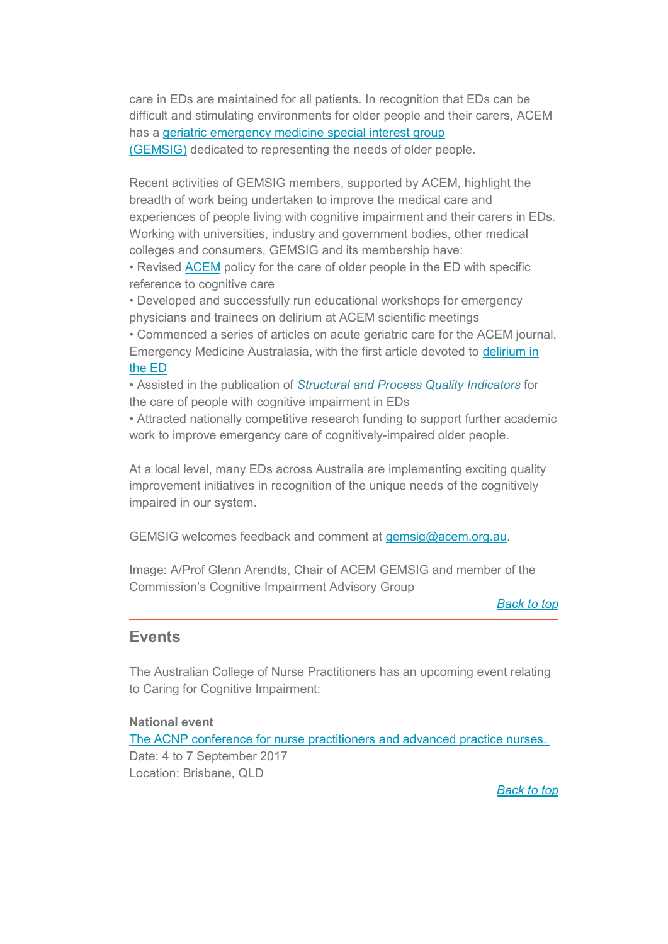care in EDs are maintained for all patients. In recognition that EDs can be difficult and stimulating environments for older people and their carers, ACEM has a [geriatric emergency medicine special interest group](http://safetyandquality.createsend1.com/t/j-l-uldrhtd-l-m/)  [\(GEMSIG\)](http://safetyandquality.createsend1.com/t/j-l-uldrhtd-l-m/) dedicated to representing the needs of older people.

Recent activities of GEMSIG members, supported by ACEM, highlight the breadth of work being undertaken to improve the medical care and experiences of people living with cognitive impairment and their carers in EDs. Working with universities, industry and government bodies, other medical colleges and consumers, GEMSIG and its membership have:

• Revised [ACEM](http://safetyandquality.createsend1.com/t/j-l-uldrhtd-l-c/) policy for the care of older people in the ED with specific reference to cognitive care

• Developed and successfully run educational workshops for emergency physicians and trainees on delirium at ACEM scientific meetings • Commenced a series of articles on acute geriatric care for the ACEM journal, Emergency Medicine Australasia, with the first article devoted to [delirium in](http://onlinelibrary.wiley.com/doi/10.1111/1742-6723.12639/full)  [the ED](http://onlinelibrary.wiley.com/doi/10.1111/1742-6723.12639/full)

• Assisted in the publication of *[Structural and Process Quality Indicators](https://www.ncbi.nlm.nih.gov/pubmed/25754937)* for the care of people with cognitive impairment in EDs

• Attracted nationally competitive research funding to support further academic work to improve emergency care of cognitively-impaired older people.

At a local level, many EDs across Australia are implementing exciting quality improvement initiatives in recognition of the unique needs of the cognitively impaired in our system.

GEMSIG welcomes feedback and comment at [gemsig@acem.org.au.](mailto:mailto:gemsig@acem.org.au)

Image: A/Prof Glenn Arendts, Chair of ACEM GEMSIG and member of the Commission's Cognitive Impairment Advisory Group

*[Back to top](https://safetyandquality.createsend.com/t/ViewEmail/j/7995EC81C3A4849F/C67FD2F38AC4859C/?tx=0#top)*

#### **Events**

The Australian College of Nurse Practitioners has an upcoming event relating to Caring for Cognitive Impairment:

#### **National event**

[The ACNP conference for nurse practitioners and advanced practice nurses.](http://safetyandquality.createsend1.com/t/j-l-uldrhtd-l-f/) Date: 4 to 7 September 2017 Location: Brisbane, QLD

*[Back to top](https://safetyandquality.createsend.com/t/ViewEmail/j/7995EC81C3A4849F/C67FD2F38AC4859C/?tx=0#top)*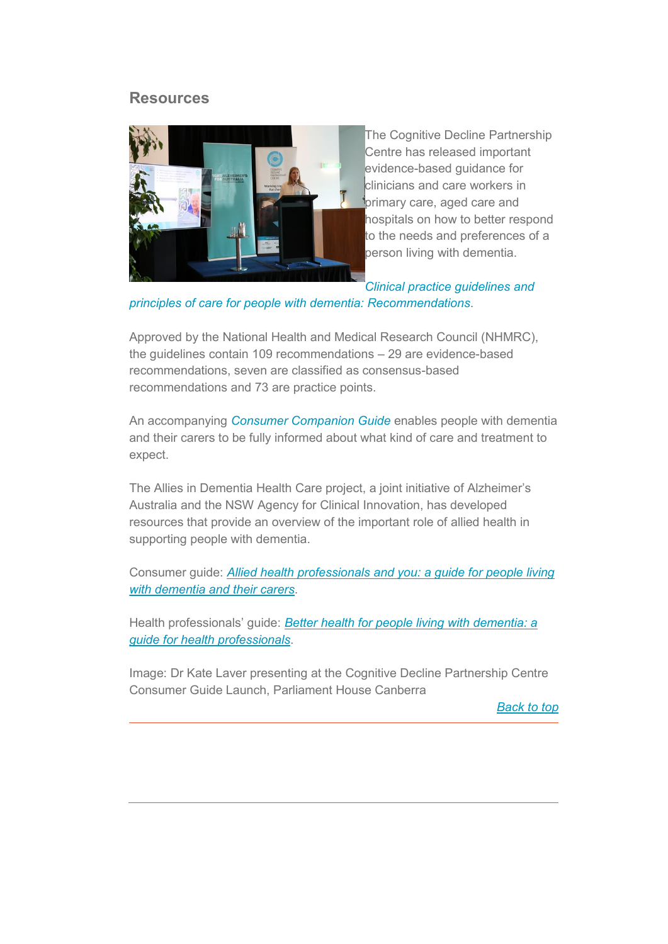#### **Resources**



The Cognitive Decline Partnership Centre has released important evidence-based guidance for clinicians and care workers in primary care, aged care and hospitals on how to better respond to the needs and preferences of a person living with dementia.

*[Clinical practice guidelines and](http://safetyandquality.createsend1.com/t/j-l-uldrhtd-l-z/)* 

*[principles of care for people with dementia: Recommendations](http://safetyandquality.createsend1.com/t/j-l-uldrhtd-l-z/)*.

Approved by the National Health and Medical Research Council (NHMRC), the guidelines contain 109 recommendations – 29 are evidence-based recommendations, seven are classified as consensus-based recommendations and 73 are practice points.

An accompanying *[Consumer Companion Guide](http://safetyandquality.createsend1.com/t/j-l-uldrhtd-l-v/)* enables people with dementia and their carers to be fully informed about what kind of care and treatment to expect.

The Allies in Dementia Health Care project, a joint initiative of Alzheimer's Australia and the NSW Agency for Clinical Innovation, has developed resources that provide an overview of the important role of allied health in supporting people with dementia.

Consumer guide: *[Allied health professionals and you: a guide for people living](https://www.aci.health.nsw.gov.au/__data/assets/pdf_file/0003/310836/Allied-Health-Professionals-and-You.pdf)  [with dementia and their carers](https://www.aci.health.nsw.gov.au/__data/assets/pdf_file/0003/310836/Allied-Health-Professionals-and-You.pdf)*.

Health professionals' guide: *[Better health for people living with dementia: a](https://www.fightdementia.org.au/files/NATIONAL/documents/Better-health-dementia-allied-health-professionals.pdf)  [guide for health professionals](https://www.fightdementia.org.au/files/NATIONAL/documents/Better-health-dementia-allied-health-professionals.pdf)*.

Image: Dr Kate Laver presenting at the Cognitive Decline Partnership Centre Consumer Guide Launch, Parliament House Canberra

*[Back to top](https://safetyandquality.createsend.com/t/ViewEmail/j/7995EC81C3A4849F/C67FD2F38AC4859C/?tx=0#top)*